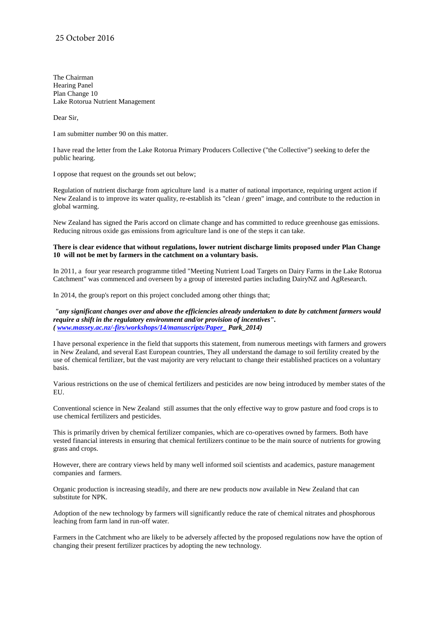The Chairman Hearing Panel Plan Change 10 Lake Rotorua Nutrient Management

Dear Sir,

I am submitter number 90 on this matter.

I have read the letter from the Lake Rotorua Primary Producers Collective ("the Collective") seeking to defer the public hearing.

I oppose that request on the grounds set out below;

Regulation of nutrient discharge from agriculture land is a matter of national importance, requiring urgent action if New Zealand is to improve its water quality, re-establish its "clean / green" image, and contribute to the reduction in global warming.

New Zealand has signed the Paris accord on climate change and has committed to reduce greenhouse gas emissions. Reducing nitrous oxide gas emissions from agriculture land is one of the steps it can take.

## **There is clear evidence that without regulations, lower nutrient discharge limits proposed under Plan Change 10 will not be met by farmers in the catchment on a voluntary basis.**

In 2011, a four year research programme titled "Meeting Nutrient Load Targets on Dairy Farms in the Lake Rotorua Catchment" was commenced and overseen by a group of interested parties including DairyNZ and AgResearch.

In 2014, the group's report on this project concluded among other things that;

*"any significant changes over and above the efficiencies already undertaken to date by catchment farmers would require a shift in the regulatory environment and/or provision of incentives". [\( www.massey.ac.nz/-firs/workshops/14/manuscripts/Paper\\_ P](http://www.massey.ac.nz/-firs/workshops/14/manuscripts/Paper_)ark\_2014)*

I have personal experience in the field that supports this statement, from numerous meetings with farmers and growers in New Zealand, and several East European countries, They all understand the damage to soil fertility created by the use of chemical fertilizer, but the vast majority are very reluctant to change their established practices on a voluntary basis.

Various restrictions on the use of chemical fertilizers and pesticides are now being introduced by member states of the EU.

Conventional science in New Zealand still assumes that the only effective way to grow pasture and food crops is to use chemical fertilizers and pesticides.

This is primarily driven by chemical fertilizer companies, which are co-operatives owned by farmers. Both have vested financial interests in ensuring that chemical fertilizers continue to be the main source of nutrients for growing grass and crops.

However, there are contrary views held by many well informed soil scientists and academics, pasture management companies and farmers.

Organic production is increasing steadily, and there are new products now available in New Zealand that can substitute for NPK.

Adoption of the new technology by farmers will significantly reduce the rate of chemical nitrates and phosphorous leaching from farm land in run-off water.

Farmers in the Catchment who are likely to be adversely affected by the proposed regulations now have the option of changing their present fertilizer practices by adopting the new technology.